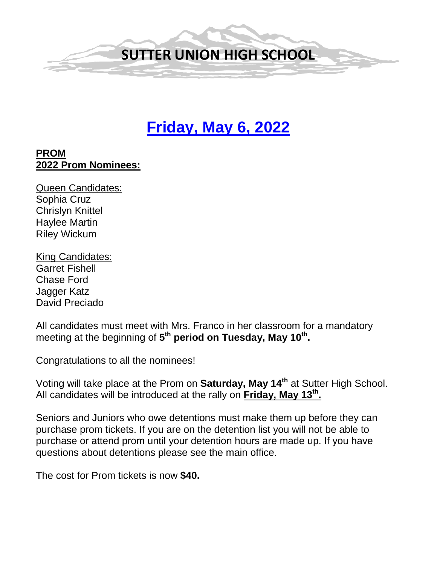

# **Friday, May 6, 2022**

#### **PROM 2022 Prom Nominees:**

Queen Candidates: Sophia Cruz Chrislyn Knittel Haylee Martin Riley Wickum

King Candidates: Garret Fishell Chase Ford Jagger Katz David Preciado

All candidates must meet with Mrs. Franco in her classroom for a mandatory meeting at the beginning of 5<sup>th</sup> period on Tuesday, May 10<sup>th</sup>.

Congratulations to all the nominees!

Voting will take place at the Prom on **Saturday, May 14th** at Sutter High School. All candidates will be introduced at the rally on **Friday, May 13th.** 

Seniors and Juniors who owe detentions must make them up before they can purchase prom tickets. If you are on the detention list you will not be able to purchase or attend prom until your detention hours are made up. If you have questions about detentions please see the main office.

The cost for Prom tickets is now **\$40.**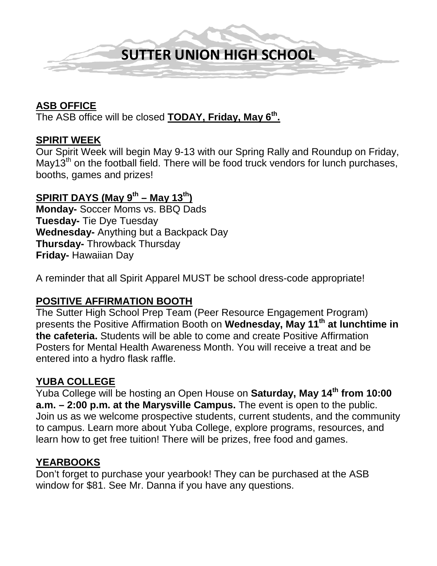

#### **ASB OFFICE**

The ASB office will be closed **TODAY, Friday, May 6th.** 

#### **SPIRIT WEEK**

Our Spirit Week will begin May 9-13 with our Spring Rally and Roundup on Friday, May13<sup>th</sup> on the football field. There will be food truck vendors for lunch purchases, booths, games and prizes!

#### **SPIRIT DAYS (May 9th – May 13th)**

**Monday-** Soccer Moms vs. BBQ Dads **Tuesday-** Tie Dye Tuesday **Wednesday-** Anything but a Backpack Day **Thursday-** Throwback Thursday **Friday-** Hawaiian Day

A reminder that all Spirit Apparel MUST be school dress-code appropriate!

#### **POSITIVE AFFIRMATION BOOTH**

The Sutter High School Prep Team (Peer Resource Engagement Program) presents the Positive Affirmation Booth on **Wednesday, May 11th at lunchtime in the cafeteria.** Students will be able to come and create Positive Affirmation Posters for Mental Health Awareness Month. You will receive a treat and be entered into a hydro flask raffle.

#### **YUBA COLLEGE**

Yuba College will be hosting an Open House on **Saturday, May 14th from 10:00 a.m. – 2:00 p.m. at the Marysville Campus.** The event is open to the public. Join us as we welcome prospective students, current students, and the community to campus. Learn more about Yuba College, explore programs, resources, and learn how to get free tuition! There will be prizes, free food and games.

#### **YEARBOOKS**

Don't forget to purchase your yearbook! They can be purchased at the ASB window for \$81. See Mr. Danna if you have any questions.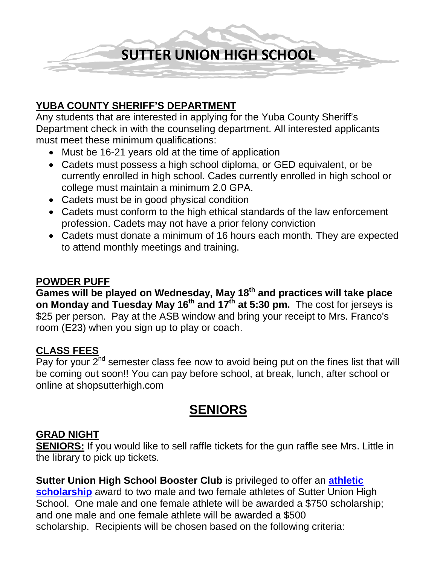**SUTTER UNION HIGH SCHOOL**

#### **YUBA COUNTY SHERIFF'S DEPARTMENT**

Any students that are interested in applying for the Yuba County Sheriff's Department check in with the counseling department. All interested applicants must meet these minimum qualifications:

- Must be 16-21 years old at the time of application
- Cadets must possess a high school diploma, or GED equivalent, or be currently enrolled in high school. Cades currently enrolled in high school or college must maintain a minimum 2.0 GPA.
- Cadets must be in good physical condition
- Cadets must conform to the high ethical standards of the law enforcement profession. Cadets may not have a prior felony conviction
- Cadets must donate a minimum of 16 hours each month. They are expected to attend monthly meetings and training.

#### **POWDER PUFF**

**Games will be played on Wednesday, May 18th and practices will take place on Monday and Tuesday May 16th and 17th at 5:30 pm.** The cost for jerseys is \$25 per person. Pay at the ASB window and bring your receipt to Mrs. Franco's room (E23) when you sign up to play or coach.

#### **CLASS FEES**

Pay for your  $2^{nd}$  semester class fee now to avoid being put on the fines list that will be coming out soon!! You can pay before school, at break, lunch, after school or online at shopsutterhigh.com

## **SENIORS**

#### **GRAD NIGHT**

**SENIORS:** If you would like to sell raffle tickets for the gun raffle see Mrs. Little in the library to pick up tickets.

**Sutter Union High School Booster Club** is privileged to offer an **[athletic](https://ca02205833.schoolwires.net/Page/8453)  [scholarship](https://ca02205833.schoolwires.net/Page/8453)** award to two male and two female athletes of Sutter Union High School. One male and one female athlete will be awarded a \$750 scholarship; and one male and one female athlete will be awarded a \$500 scholarship. Recipients will be chosen based on the following criteria: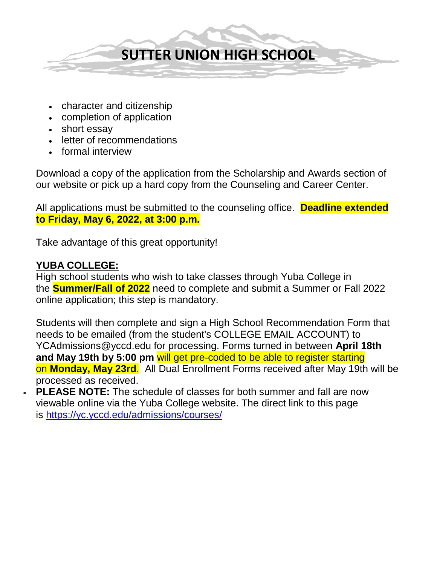

- character and citizenship
- completion of application
- short essay
- letter of recommendations
- formal interview

Download a copy of the application from the Scholarship and Awards section of our website or pick up a hard copy from the Counseling and Career Center.

All applications must be submitted to the counseling office. **Deadline extended to Friday, May 6, 2022, at 3:00 p.m.**

Take advantage of this great opportunity!

#### **YUBA COLLEGE:**

High school students who wish to take classes through Yuba College in the **Summer/Fall of 2022** need to complete and submit a Summer or Fall 2022 online application; this step is mandatory.

Students will then complete and sign a High School Recommendation Form that needs to be emailed (from the student's COLLEGE EMAIL ACCOUNT) to YCAdmissions@yccd.edu for processing. Forms turned in between **April 18th and May 19th by 5:00 pm** will get pre-coded to be able to register starting on **Monday, May 23rd**. All Dual Enrollment Forms received after May 19th will be processed as received.

• **PLEASE NOTE:** The schedule of classes for both summer and fall are now viewable online via the Yuba College website. The direct link to this page is <https://yc.yccd.edu/admissions/courses/>